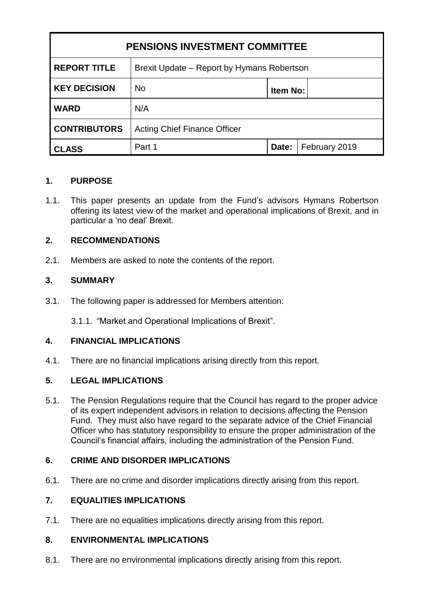| <b>PENSIONS INVESTMENT COMMITTEE</b> |                                            |          |               |
|--------------------------------------|--------------------------------------------|----------|---------------|
| <b>REPORT TITLE</b>                  | Brexit Update – Report by Hymans Robertson |          |               |
| <b>KEY DECISION</b>                  | <b>No</b>                                  | Item No: |               |
| <b>WARD</b>                          | N/A                                        |          |               |
| <b>CONTRIBUTORS</b>                  | <b>Acting Chief Finance Officer</b>        |          |               |
| <b>CLASS</b>                         | Part 1                                     | Date:    | February 2019 |

### **1. PURPOSE**

1.1. This paper presents an update from the Fund's advisors Hymans Robertson offering its latest view of the market and operational implications of Brexit, and in particular a 'no deal' Brexit.

### **2. RECOMMENDATIONS**

2.1. Members are asked to note the contents of the report.

## **3. SUMMARY**

3.1. The following paper is addressed for Members attention:

3.1.1. "Market and Operational Implications of Brexit".

### **4. FINANCIAL IMPLICATIONS**

4.1. There are no financial implications arising directly from this report.

### **5. LEGAL IMPLICATIONS**

5.1. The Pension Regulations require that the Council has regard to the proper advice of its expert independent advisors in relation to decisions affecting the Pension Fund. They must also have regard to the separate advice of the Chief Financial Officer who has statutory responsibility to ensure the proper administration of the Council's financial affairs, including the administration of the Pension Fund.

### **6. CRIME AND DISORDER IMPLICATIONS**

6.1. There are no crime and disorder implications directly arising from this report.

### **7. EQUALITIES IMPLICATIONS**

7.1. There are no equalities implications directly arising from this report.

# **8. ENVIRONMENTAL IMPLICATIONS**

8.1. There are no environmental implications directly arising from this report.